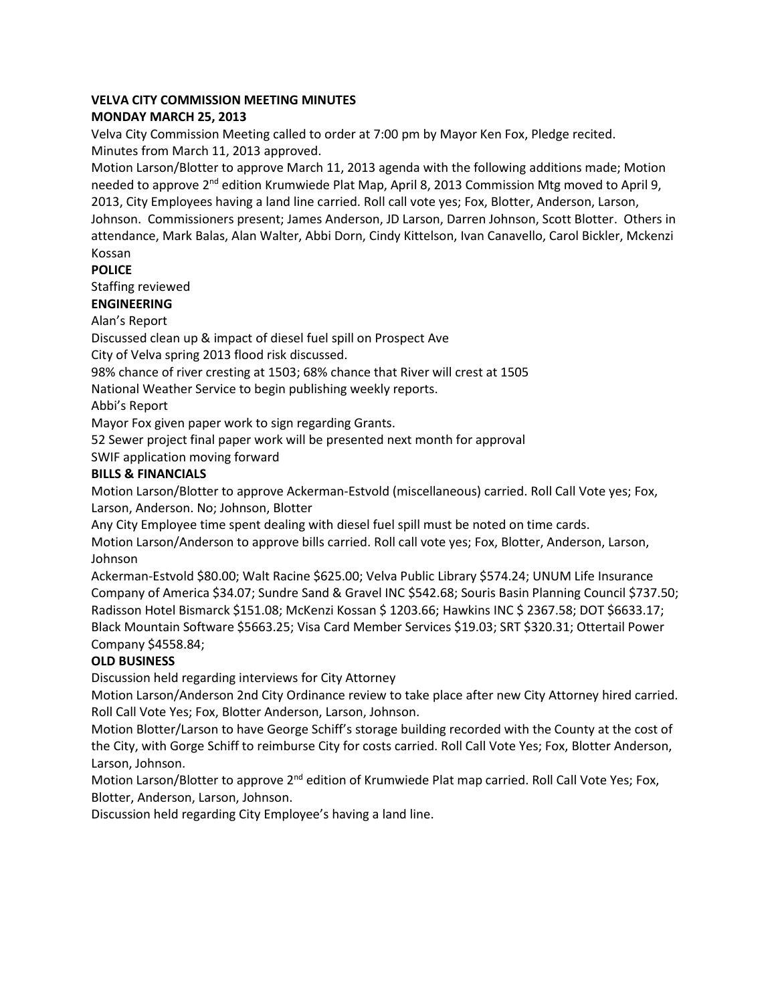### **VELVA CITY COMMISSION MEETING MINUTES**

### **MONDAY MARCH 25, 2013**

Velva City Commission Meeting called to order at 7:00 pm by Mayor Ken Fox, Pledge recited. Minutes from March 11, 2013 approved.

Motion Larson/Blotter to approve March 11, 2013 agenda with the following additions made; Motion needed to approve 2<sup>nd</sup> edition Krumwiede Plat Map, April 8, 2013 Commission Mtg moved to April 9, 2013, City Employees having a land line carried. Roll call vote yes; Fox, Blotter, Anderson, Larson, Johnson. Commissioners present; James Anderson, JD Larson, Darren Johnson, Scott Blotter. Others in attendance, Mark Balas, Alan Walter, Abbi Dorn, Cindy Kittelson, Ivan Canavello, Carol Bickler, Mckenzi Kossan

# **POLICE**

Staffing reviewed

## **ENGINEERING**

Alan's Report

Discussed clean up & impact of diesel fuel spill on Prospect Ave

City of Velva spring 2013 flood risk discussed.

98% chance of river cresting at 1503; 68% chance that River will crest at 1505

National Weather Service to begin publishing weekly reports.

Abbi's Report

Mayor Fox given paper work to sign regarding Grants.

52 Sewer project final paper work will be presented next month for approval

SWIF application moving forward

# **BILLS & FINANCIALS**

Motion Larson/Blotter to approve Ackerman-Estvold (miscellaneous) carried. Roll Call Vote yes; Fox, Larson, Anderson. No; Johnson, Blotter

Any City Employee time spent dealing with diesel fuel spill must be noted on time cards.

Motion Larson/Anderson to approve bills carried. Roll call vote yes; Fox, Blotter, Anderson, Larson, Johnson

Ackerman-Estvold \$80.00; Walt Racine \$625.00; Velva Public Library \$574.24; UNUM Life Insurance Company of America \$34.07; Sundre Sand & Gravel INC \$542.68; Souris Basin Planning Council \$737.50; Radisson Hotel Bismarck \$151.08; McKenzi Kossan \$ 1203.66; Hawkins INC \$ 2367.58; DOT \$6633.17; Black Mountain Software \$5663.25; Visa Card Member Services \$19.03; SRT \$320.31; Ottertail Power Company \$4558.84;

# **OLD BUSINESS**

Discussion held regarding interviews for City Attorney

Motion Larson/Anderson 2nd City Ordinance review to take place after new City Attorney hired carried. Roll Call Vote Yes; Fox, Blotter Anderson, Larson, Johnson.

Motion Blotter/Larson to have George Schiff's storage building recorded with the County at the cost of the City, with Gorge Schiff to reimburse City for costs carried. Roll Call Vote Yes; Fox, Blotter Anderson, Larson, Johnson.

Motion Larson/Blotter to approve 2<sup>nd</sup> edition of Krumwiede Plat map carried. Roll Call Vote Yes; Fox, Blotter, Anderson, Larson, Johnson.

Discussion held regarding City Employee's having a land line.